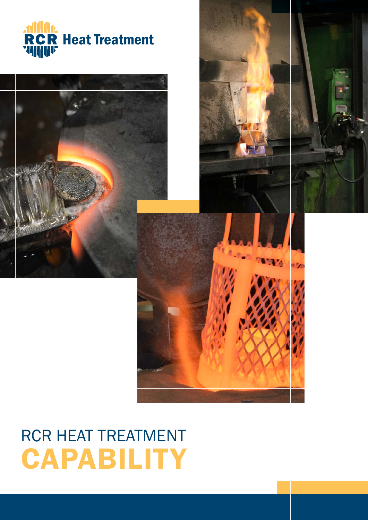



# RCR HEAT TREATMENT **CAPABILITY**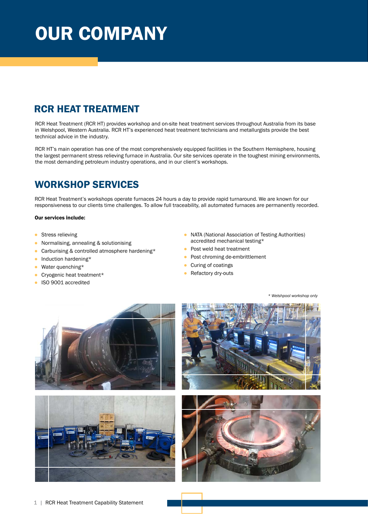# OUR COMPANY

## RCR HEAT TREATMENT

RCR Heat Treatment (RCR HT) provides workshop and on-site heat treatment services throughout Australia from its base in Welshpool, Western Australia. RCR HT's experienced heat treatment technicians and metallurgists provide the best technical advice in the industry.

RCR HT's main operation has one of the most comprehensively equipped facilities in the Southern Hemisphere, housing the largest permanent stress relieving furnace in Australia. Our site services operate in the toughest mining environments, the most demanding petroleum industry operations, and in our client's workshops.

## WORKSHOP SERVICES

RCR Heat Treatment's workshops operate furnaces 24 hours a day to provide rapid turnaround. We are known for our responsiveness to our clients time challenges. To allow full traceability, all automated furnaces are permanently recorded.

### Our services include:

- **•** Stress relieving
- Normalising, annealing & solutionising
- Carburising & controlled atmosphere hardening\*
- Induction hardening\*
- Water quenching\*
- Cryogenic heat treatment\*
- ISO 9001 accredited
- NATA (National Association of Testing Authorities) accredited mechanical testing\*
- Post weld heat treatment
- Post chroming de-embrittlement
- Curing of coatings
- Refactory dry-outs

*\* Welshpool workshop only*







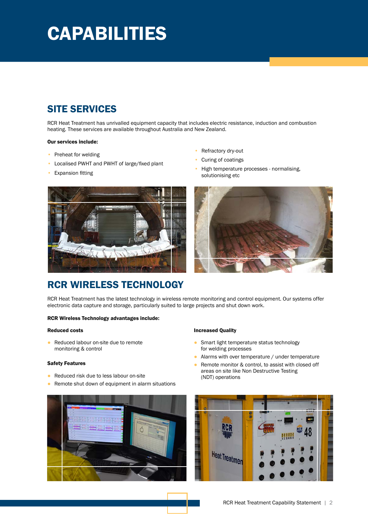# **CAPABILITIES**

## SITE SERVICES

RCR Heat Treatment has unrivalled equipment capacity that includes electric resistance, induction and combustion heating. These services are available throughout Australia and New Zealand.

### Our services include:

- Preheat for welding
- Localised PWHT and PWHT of large/fixed plant
- **Expansion fitting**
- Refractory dry-out
- Curing of coatings
- High temperature processes normalising, solutionising etc



## RCR WIRELESS TECHNOLOGY

RCR Heat Treatment has the latest technology in wireless remote monitoring and control equipment. Our systems offer electronic data capture and storage, particularly suited to large projects and shut down work.

### RCR Wireless Technology advantages include:

### Reduced costs

● Reduced labour on-site due to remote monitoring & control

### Safety Features

- Reduced risk due to less labour on-site
- Remote shut down of equipment in alarm situations



## Increased Quality

- Smart light temperature status technology for welding processes
- Alarms with over temperature / under temperature
- Remote monitor & control, to assist with closed off areas on site like Non Destructive Testing (NDT) operations